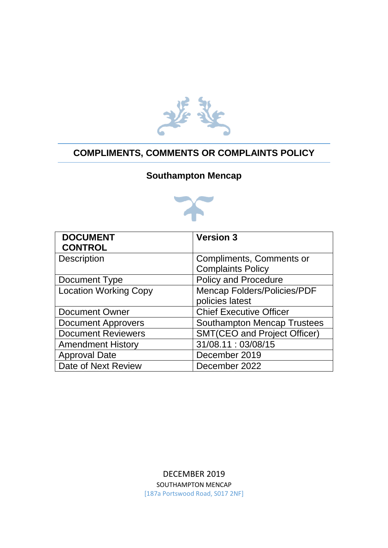

## **COMPLIMENTS, COMMENTS OR COMPLAINTS POLICY**

## **Southampton Mencap**



| <b>DOCUMENT</b>              | <b>Version 3</b>                    |
|------------------------------|-------------------------------------|
| <b>CONTROL</b>               |                                     |
| <b>Description</b>           | Compliments, Comments or            |
|                              | <b>Complaints Policy</b>            |
| Document Type                | <b>Policy and Procedure</b>         |
| <b>Location Working Copy</b> | <b>Mencap Folders/Policies/PDF</b>  |
|                              | policies latest                     |
| <b>Document Owner</b>        | <b>Chief Executive Officer</b>      |
| <b>Document Approvers</b>    | <b>Southampton Mencap Trustees</b>  |
| <b>Document Reviewers</b>    | <b>SMT(CEO and Project Officer)</b> |
| <b>Amendment History</b>     | 31/08.11:03/08/15                   |
| <b>Approval Date</b>         | December 2019                       |
| Date of Next Review          | December 2022                       |

DECEMBER 2019 SOUTHAMPTON MENCAP [187a Portswood Road, S017 2NF]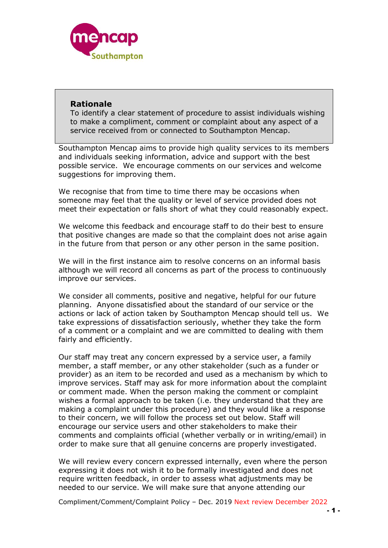

#### **Rationale**

To identify a clear statement of procedure to assist individuals wishing to make a compliment, comment or complaint about any aspect of a service received from or connected to Southampton Mencap.

Southampton Mencap aims to provide high quality services to its members and individuals seeking information, advice and support with the best possible service. We encourage comments on our services and welcome suggestions for improving them.

We recognise that from time to time there may be occasions when someone may feel that the quality or level of service provided does not meet their expectation or falls short of what they could reasonably expect.

We welcome this feedback and encourage staff to do their best to ensure that positive changes are made so that the complaint does not arise again in the future from that person or any other person in the same position.

We will in the first instance aim to resolve concerns on an informal basis although we will record all concerns as part of the process to continuously improve our services.

We consider all comments, positive and negative, helpful for our future planning. Anyone dissatisfied about the standard of our service or the actions or lack of action taken by Southampton Mencap should tell us. We take expressions of dissatisfaction seriously, whether they take the form of a comment or a complaint and we are committed to dealing with them fairly and efficiently.

Our staff may treat any concern expressed by a service user, a family member, a staff member, or any other stakeholder (such as a funder or provider) as an item to be recorded and used as a mechanism by which to improve services. Staff may ask for more information about the complaint or comment made. When the person making the comment or complaint wishes a formal approach to be taken (i.e. they understand that they are making a complaint under this procedure) and they would like a response to their concern, we will follow the process set out below. Staff will encourage our service users and other stakeholders to make their comments and complaints official (whether verbally or in writing/email) in order to make sure that all genuine concerns are properly investigated.

We will review every concern expressed internally, even where the person expressing it does not wish it to be formally investigated and does not require written feedback, in order to assess what adjustments may be needed to our service. We will make sure that anyone attending our

Compliment/Comment/Complaint Policy – Dec. 2019 Next review December 2022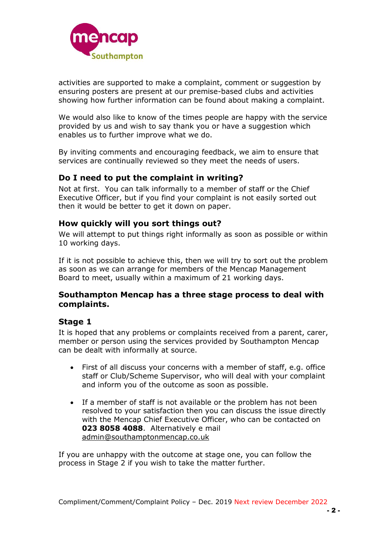

activities are supported to make a complaint, comment or suggestion by ensuring posters are present at our premise-based clubs and activities showing how further information can be found about making a complaint.

We would also like to know of the times people are happy with the service provided by us and wish to say thank you or have a suggestion which enables us to further improve what we do.

By inviting comments and encouraging feedback, we aim to ensure that services are continually reviewed so they meet the needs of users.

## **Do I need to put the complaint in writing?**

Not at first. You can talk informally to a member of staff or the Chief Executive Officer, but if you find your complaint is not easily sorted out then it would be better to get it down on paper.

#### **How quickly will you sort things out?**

We will attempt to put things right informally as soon as possible or within 10 working days.

If it is not possible to achieve this, then we will try to sort out the problem as soon as we can arrange for members of the Mencap Management Board to meet, usually within a maximum of 21 working days.

#### **Southampton Mencap has a three stage process to deal with complaints.**

#### **Stage 1**

It is hoped that any problems or complaints received from a parent, carer, member or person using the services provided by Southampton Mencap can be dealt with informally at source.

- First of all discuss your concerns with a member of staff, e.g. office staff or Club/Scheme Supervisor, who will deal with your complaint and inform you of the outcome as soon as possible.
- If a member of staff is not available or the problem has not been resolved to your satisfaction then you can discuss the issue directly with the Mencap Chief Executive Officer, who can be contacted on **023 8058 4088**. Alternatively e mail [admin@southamptonmencap.co.uk](mailto:admin@southamptonmencap.co.uk)

If you are unhappy with the outcome at stage one, you can follow the process in Stage 2 if you wish to take the matter further.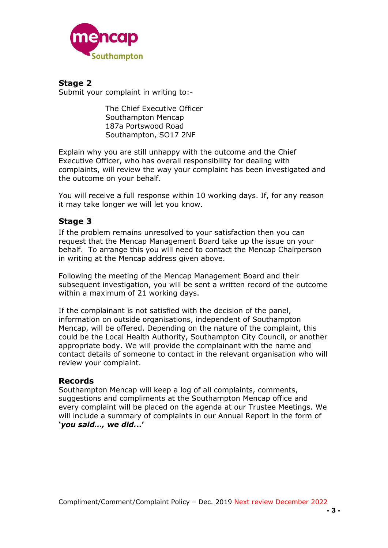

**Stage 2** Submit your complaint in writing to:-

> The Chief Executive Officer Southampton Mencap 187a Portswood Road Southampton, SO17 2NF

Explain why you are still unhappy with the outcome and the Chief Executive Officer, who has overall responsibility for dealing with complaints, will review the way your complaint has been investigated and the outcome on your behalf.

You will receive a full response within 10 working days. If, for any reason it may take longer we will let you know.

### **Stage 3**

If the problem remains unresolved to your satisfaction then you can request that the Mencap Management Board take up the issue on your behalf. To arrange this you will need to contact the Mencap Chairperson in writing at the Mencap address given above.

Following the meeting of the Mencap Management Board and their subsequent investigation, you will be sent a written record of the outcome within a maximum of 21 working days.

If the complainant is not satisfied with the decision of the panel, information on outside organisations, independent of Southampton Mencap, will be offered. Depending on the nature of the complaint, this could be the Local Health Authority, Southampton City Council, or another appropriate body. We will provide the complainant with the name and contact details of someone to contact in the relevant organisation who will review your complaint.

#### **Records**

Southampton Mencap will keep a log of all complaints, comments, suggestions and compliments at the Southampton Mencap office and every complaint will be placed on the agenda at our Trustee Meetings. We will include a summary of complaints in our Annual Report in the form of **'***you said…, we did.***..'**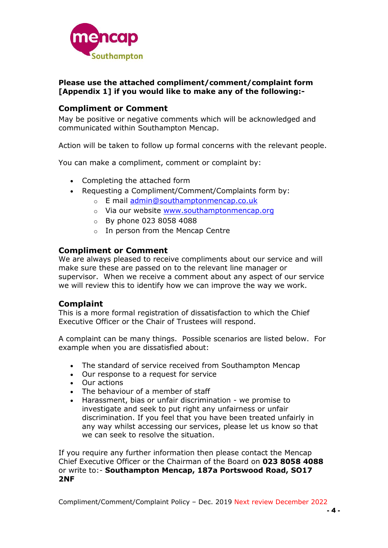

#### **Please use the attached compliment/comment/complaint form [Appendix 1] if you would like to make any of the following:-**

## **Compliment or Comment**

May be positive or negative comments which will be acknowledged and communicated within Southampton Mencap.

Action will be taken to follow up formal concerns with the relevant people.

You can make a compliment, comment or complaint by:

- Completing the attached form
- Requesting a Compliment/Comment/Complaints form by:
	- o E mail [admin@southamptonmencap.co.uk](mailto:admin@southamptonmencap.co.uk)
	- o Via our website [www.southamptonmencap.org](http://www.southamptonmencap.org/)
	- o By phone 023 8058 4088
	- o In person from the Mencap Centre

#### **Compliment or Comment**

We are always pleased to receive compliments about our service and will make sure these are passed on to the relevant line manager or supervisor. When we receive a comment about any aspect of our service we will review this to identify how we can improve the way we work.

### **Complaint**

This is a more formal registration of dissatisfaction to which the Chief Executive Officer or the Chair of Trustees will respond.

A complaint can be many things. Possible scenarios are listed below. For example when you are dissatisfied about:

- The standard of service received from Southampton Mencap
- Our response to a request for service
- Our actions
- The behaviour of a member of staff
- Harassment, bias or unfair discrimination we promise to investigate and seek to put right any unfairness or unfair discrimination. If you feel that you have been treated unfairly in any way whilst accessing our services, please let us know so that we can seek to resolve the situation.

If you require any further information then please contact the Mencap Chief Executive Officer or the Chairman of the Board on **023 8058 4088** or write to:- **Southampton Mencap, 187a Portswood Road, SO17 2NF**